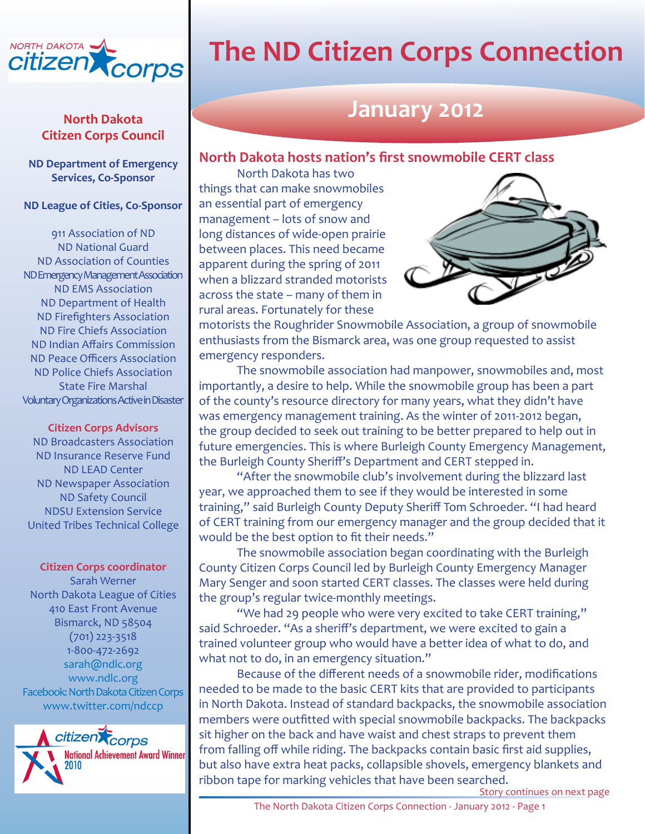

## **Citizen Corps Council**

**ND Department of Emergency Services, Co-Sponsor** 

#### **ND League of Cities, Co-Sponsor**

911 Association of ND ND National Guard ND Association of Counties ND Emergency Management Association ND EMS Association ND Department of Health ND Firefighters Association ND Fire Chiefs Association ND Indian Affairs Commission ND Peace Officers Association ND Police Chiefs Association State Fire Marshal Voluntary Organizations Active in Disaster

#### **Citizen Corps Advisors**

ND Broadcasters Association ND Insurance Reserve Fund ND LEAD Center ND Newspaper Association ND Safety Council NDSU Extension Service United Tribes Technical College

#### **Citizen Corps coordinator**

Sarah Werner North Dakota League of Cities 410 East Front Avenue Bismarck, ND 58504 (701) 223-3518 1-800-472-2692 [sarah@ndlc.org](mailto:sarah@ndlc.org) [www.ndlc.org](http://www.ndlc.org/) [Facebook: North Dakota Citizen Corps](http://www.facebook.com/home.php?#/pages/Bismarck-ND/North-Dakota-Citizen-Corps/113123263078?ref=ts) [www.twitter.com/ndccp](http://twitter.com/ndccp)



# **The ND Citizen Corps Connection**

## **January 2012**

#### **North Dakota hosts nation's first snowmobile CERT class**

North Dakota has two things that can make snowmobiles an essential part of emergency management – lots of snow and long distances of wide-open prairie between places. This need became apparent during the spring of 2011 when a blizzard stranded motorists across the state – many of them in rural areas. Fortunately for these



motorists the Roughrider Snowmobile Association, a group of snowmobile enthusiasts from the Bismarck area, was one group requested to assist emergency responders.

The snowmobile association had manpower, snowmobiles and, most importantly, a desire to help. While the snowmobile group has been a part of the county's resource directory for many years, what they didn't have was emergency management training. As the winter of 2011-2012 began, the group decided to seek out training to be better prepared to help out in future emergencies. This is where Burleigh County Emergency Management, the Burleigh County Sheriff's Department and CERT stepped in.

"After the snowmobile club's involvement during the blizzard last year, we approached them to see if they would be interested in some training," said Burleigh County Deputy Sheriff Tom Schroeder. "I had heard of CERT training from our emergency manager and the group decided that it would be the best option to fit their needs."

The snowmobile association began coordinating with the Burleigh County Citizen Corps Council led by Burleigh County Emergency Manager Mary Senger and soon started CERT classes. The classes were held during the group's regular twice-monthly meetings.

"We had 29 people who were very excited to take CERT training," said Schroeder. "As a sheriff's department, we were excited to gain a trained volunteer group who would have a better idea of what to do, and what not to do, in an emergency situation."

Because of the different needs of a snowmobile rider, modifications needed to be made to the basic CERT kits that are provided to participants in North Dakota. Instead of standard backpacks, the snowmobile association members were outfitted with special snowmobile backpacks. The backpacks sit higher on the back and have waist and chest straps to prevent them from falling off while riding. The backpacks contain basic first aid supplies, but also have extra heat packs, collapsible shovels, emergency blankets and ribbon tape for marking vehicles that have been searched.

Story continues on next page